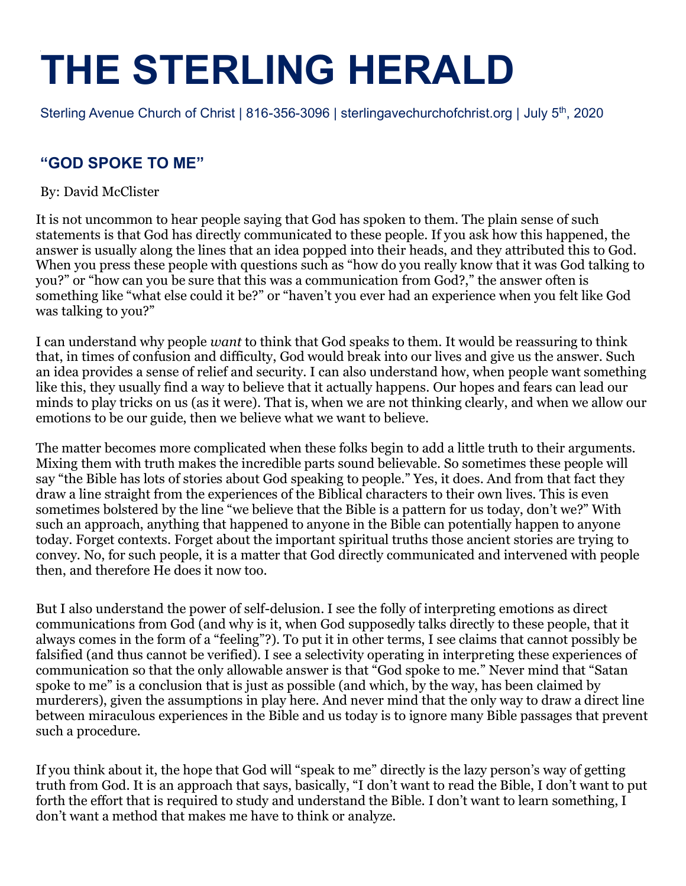# **THE STERLING HERALD**

Sterling Avenue Church of Christ | 816-356-3096 | sterlingavechurchofchrist.org | July 5<sup>th</sup>, 2020

#### **"GOD SPOKE TO ME"**

By: David McClister

It is not uncommon to hear people saying that God has spoken to them. The plain sense of such statements is that God has directly communicated to these people. If you ask how this happened, the answer is usually along the lines that an idea popped into their heads, and they attributed this to God. When you press these people with questions such as "how do you really know that it was God talking to you?" or "how can you be sure that this was a communication from God?," the answer often is something like "what else could it be?" or "haven't you ever had an experience when you felt like God was talking to you?"

I can understand why people *want* to think that God speaks to them. It would be reassuring to think that, in times of confusion and difficulty, God would break into our lives and give us the answer. Such an idea provides a sense of relief and security. I can also understand how, when people want something like this, they usually find a way to believe that it actually happens. Our hopes and fears can lead our minds to play tricks on us (as it were). That is, when we are not thinking clearly, and when we allow our emotions to be our guide, then we believe what we want to believe.

The matter becomes more complicated when these folks begin to add a little truth to their arguments. Mixing them with truth makes the incredible parts sound believable. So sometimes these people will say "the Bible has lots of stories about God speaking to people." Yes, it does. And from that fact they draw a line straight from the experiences of the Biblical characters to their own lives. This is even sometimes bolstered by the line "we believe that the Bible is a pattern for us today, don't we?" With such an approach, anything that happened to anyone in the Bible can potentially happen to anyone today. Forget contexts. Forget about the important spiritual truths those ancient stories are trying to convey. No, for such people, it is a matter that God directly communicated and intervened with people then, and therefore He does it now too.

But I also understand the power of self-delusion. I see the folly of interpreting emotions as direct communications from God (and why is it, when God supposedly talks directly to these people, that it always comes in the form of a "feeling"?). To put it in other terms, I see claims that cannot possibly be falsified (and thus cannot be verified). I see a selectivity operating in interpreting these experiences of communication so that the only allowable answer is that "God spoke to me." Never mind that "Satan spoke to me" is a conclusion that is just as possible (and which, by the way, has been claimed by murderers), given the assumptions in play here. And never mind that the only way to draw a direct line between miraculous experiences in the Bible and us today is to ignore many Bible passages that prevent such a procedure.

If you think about it, the hope that God will "speak to me" directly is the lazy person's way of getting truth from God. It is an approach that says, basically, "I don't want to read the Bible, I don't want to put forth the effort that is required to study and understand the Bible. I don't want to learn something, I don't want a method that makes me have to think or analyze.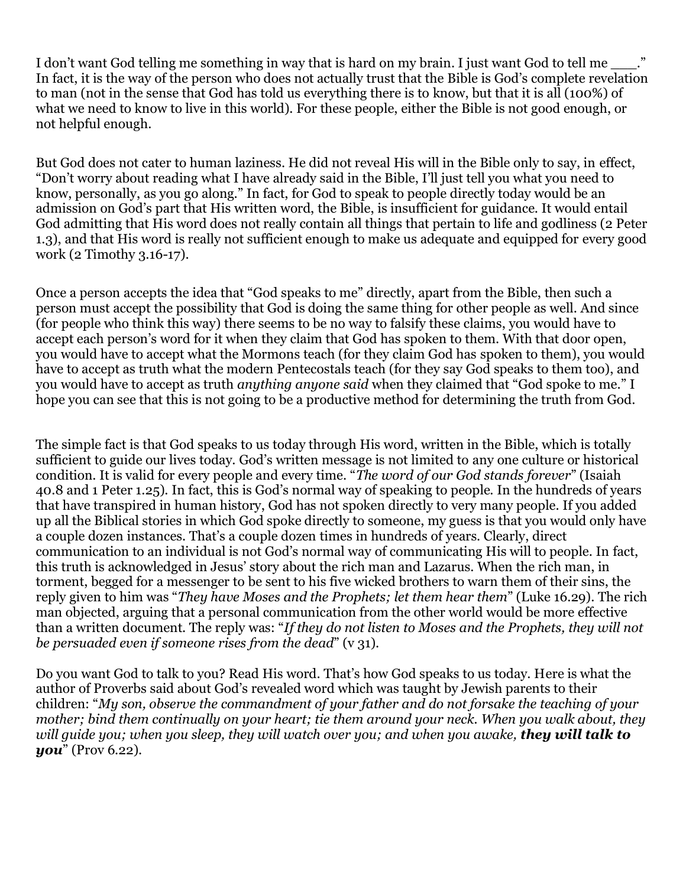I don't want God telling me something in way that is hard on my brain. I just want God to tell me In fact, it is the way of the person who does not actually trust that the Bible is God's complete revelation to man (not in the sense that God has told us everything there is to know, but that it is all (100%) of what we need to know to live in this world). For these people, either the Bible is not good enough, or not helpful enough.

But God does not cater to human laziness. He did not reveal His will in the Bible only to say, in effect, "Don't worry about reading what I have already said in the Bible, I'll just tell you what you need to know, personally, as you go along." In fact, for God to speak to people directly today would be an admission on God's part that His written word, the Bible, is insufficient for guidance. It would entail God admitting that His word does not really contain all things that pertain to life and godliness (2 Peter 1.3), and that His word is really not sufficient enough to make us adequate and equipped for every good work (2 Timothy 3.16-17).

Once a person accepts the idea that "God speaks to me" directly, apart from the Bible, then such a person must accept the possibility that God is doing the same thing for other people as well. And since (for people who think this way) there seems to be no way to falsify these claims, you would have to accept each person's word for it when they claim that God has spoken to them. With that door open, you would have to accept what the Mormons teach (for they claim God has spoken to them), you would have to accept as truth what the modern Pentecostals teach (for they say God speaks to them too), and you would have to accept as truth *anything anyone said* when they claimed that "God spoke to me." I hope you can see that this is not going to be a productive method for determining the truth from God.

The simple fact is that God speaks to us today through His word, written in the Bible, which is totally sufficient to guide our lives today. God's written message is not limited to any one culture or historical condition. It is valid for every people and every time. "*The word of our God stands forever*" (Isaiah 40.8 and 1 Peter 1.25). In fact, this is God's normal way of speaking to people. In the hundreds of years that have transpired in human history, God has not spoken directly to very many people. If you added up all the Biblical stories in which God spoke directly to someone, my guess is that you would only have a couple dozen instances. That's a couple dozen times in hundreds of years. Clearly, direct communication to an individual is not God's normal way of communicating His will to people. In fact, this truth is acknowledged in Jesus' story about the rich man and Lazarus. When the rich man, in torment, begged for a messenger to be sent to his five wicked brothers to warn them of their sins, the reply given to him was "*They have Moses and the Prophets; let them hear them*" (Luke 16.29). The rich man objected, arguing that a personal communication from the other world would be more effective than a written document. The reply was: "*If they do not listen to Moses and the Prophets, they will not be persuaded even if someone rises from the dead*" (v 31).

Do you want God to talk to you? Read His word. That's how God speaks to us today. Here is what the author of Proverbs said about God's revealed word which was taught by Jewish parents to their children: "*My son, observe the commandment of your father and do not forsake the teaching of your mother; bind them continually on your heart; tie them around your neck. When you walk about, they* will quide you; when you sleep, they will watch over you; and when you awake, they will talk to *you*" (Prov 6.22).